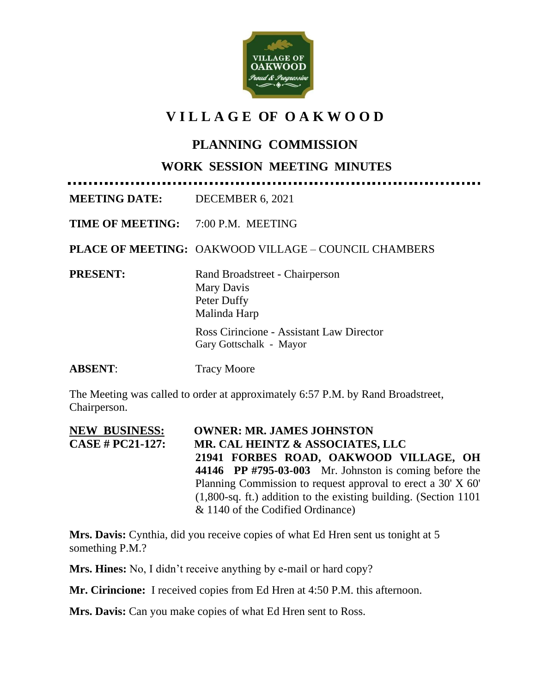

# **V I L L A G E OF O A K W O O D**

## **PLANNING COMMISSION**

#### **WORK SESSION MEETING MINUTES**

**MEETING DATE:** DECEMBER 6, 2021

**TIME OF MEETING:** 7:00 P.M. MEETING

**PLACE OF MEETING:** OAKWOOD VILLAGE – COUNCIL CHAMBERS

**PRESENT:** Rand Broadstreet - Chairperson Mary Davis Peter Duffy Malinda Harp

> Ross Cirincione - Assistant Law Director Gary Gottschalk - Mayor

**ABSENT:** Tracy Moore

The Meeting was called to order at approximately 6:57 P.M. by Rand Broadstreet, Chairperson.

**NEW BUSINESS: OWNER: MR. JAMES JOHNSTON CASE # PC21-127: MR. CAL HEINTZ & ASSOCIATES, LLC 21941 FORBES ROAD, OAKWOOD VILLAGE, OH 44146 PP #795-03-003** Mr. Johnston is coming before the Planning Commission to request approval to erect a 30' X 60' (1,800-sq. ft.) addition to the existing building. (Section 1101 & 1140 of the Codified Ordinance)

**Mrs. Davis:** Cynthia, did you receive copies of what Ed Hren sent us tonight at 5 something P.M.?

**Mrs. Hines:** No, I didn't receive anything by e-mail or hard copy?

**Mr. Cirincione:** I received copies from Ed Hren at 4:50 P.M. this afternoon.

**Mrs. Davis:** Can you make copies of what Ed Hren sent to Ross.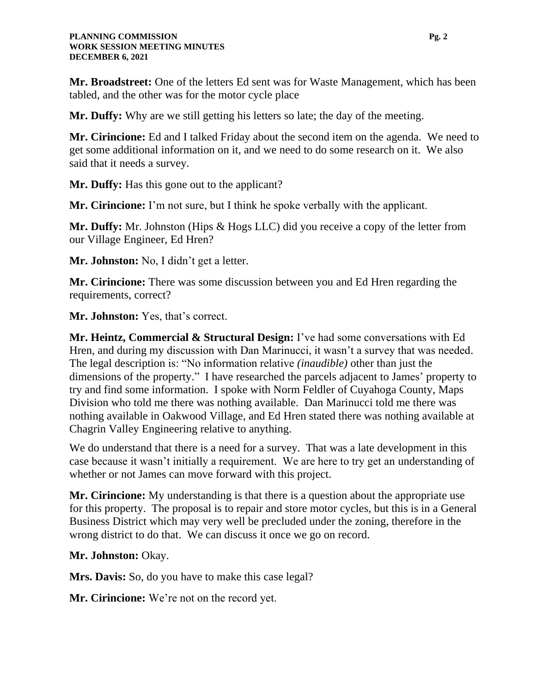**Mr. Broadstreet:** One of the letters Ed sent was for Waste Management, which has been tabled, and the other was for the motor cycle place

**Mr. Duffy:** Why are we still getting his letters so late; the day of the meeting.

**Mr. Cirincione:** Ed and I talked Friday about the second item on the agenda. We need to get some additional information on it, and we need to do some research on it. We also said that it needs a survey.

**Mr. Duffy:** Has this gone out to the applicant?

**Mr. Cirincione:** I'm not sure, but I think he spoke verbally with the applicant.

**Mr. Duffy:** Mr. Johnston (Hips & Hogs LLC) did you receive a copy of the letter from our Village Engineer, Ed Hren?

**Mr. Johnston:** No, I didn't get a letter.

**Mr. Cirincione:** There was some discussion between you and Ed Hren regarding the requirements, correct?

**Mr. Johnston:** Yes, that's correct.

**Mr. Heintz, Commercial & Structural Design:** I've had some conversations with Ed Hren, and during my discussion with Dan Marinucci, it wasn't a survey that was needed. The legal description is: "No information relative *(inaudible)* other than just the dimensions of the property." I have researched the parcels adjacent to James' property to try and find some information. I spoke with Norm Feldler of Cuyahoga County, Maps Division who told me there was nothing available. Dan Marinucci told me there was nothing available in Oakwood Village, and Ed Hren stated there was nothing available at Chagrin Valley Engineering relative to anything.

We do understand that there is a need for a survey. That was a late development in this case because it wasn't initially a requirement. We are here to try get an understanding of whether or not James can move forward with this project.

**Mr. Cirincione:** My understanding is that there is a question about the appropriate use for this property. The proposal is to repair and store motor cycles, but this is in a General Business District which may very well be precluded under the zoning, therefore in the wrong district to do that. We can discuss it once we go on record.

**Mr. Johnston:** Okay.

**Mrs. Davis:** So, do you have to make this case legal?

**Mr. Cirincione:** We're not on the record yet.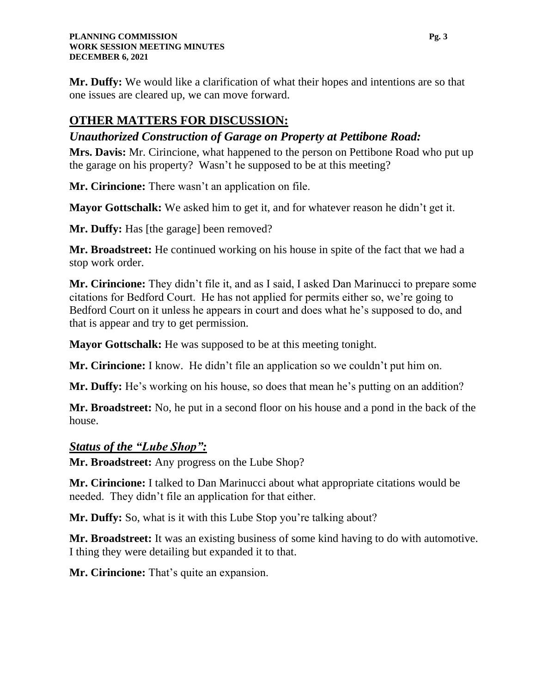**Mr. Duffy:** We would like a clarification of what their hopes and intentions are so that one issues are cleared up, we can move forward.

# **OTHER MATTERS FOR DISCUSSION:**

#### *Unauthorized Construction of Garage on Property at Pettibone Road:*

**Mrs. Davis:** Mr. Cirincione, what happened to the person on Pettibone Road who put up the garage on his property? Wasn't he supposed to be at this meeting?

**Mr. Cirincione:** There wasn't an application on file.

**Mayor Gottschalk:** We asked him to get it, and for whatever reason he didn't get it.

**Mr. Duffy:** Has [the garage] been removed?

**Mr. Broadstreet:** He continued working on his house in spite of the fact that we had a stop work order.

**Mr. Cirincione:** They didn't file it, and as I said, I asked Dan Marinucci to prepare some citations for Bedford Court. He has not applied for permits either so, we're going to Bedford Court on it unless he appears in court and does what he's supposed to do, and that is appear and try to get permission.

**Mayor Gottschalk:** He was supposed to be at this meeting tonight.

**Mr. Cirincione:** I know. He didn't file an application so we couldn't put him on.

**Mr. Duffy:** He's working on his house, so does that mean he's putting on an addition?

**Mr. Broadstreet:** No, he put in a second floor on his house and a pond in the back of the house.

#### *Status of the "Lube Shop":*

**Mr. Broadstreet:** Any progress on the Lube Shop?

**Mr. Cirincione:** I talked to Dan Marinucci about what appropriate citations would be needed. They didn't file an application for that either.

**Mr. Duffy:** So, what is it with this Lube Stop you're talking about?

**Mr. Broadstreet:** It was an existing business of some kind having to do with automotive. I thing they were detailing but expanded it to that.

**Mr. Cirincione:** That's quite an expansion.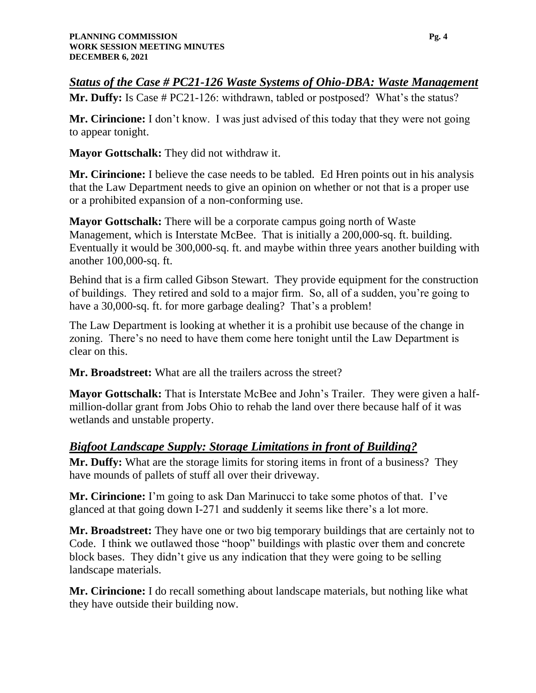*Status of the Case # PC21-126 Waste Systems of Ohio-DBA: Waste Management* 

**Mr. Duffy:** Is Case # PC21-126: withdrawn, tabled or postposed? What's the status?

**Mr. Cirincione:** I don't know. I was just advised of this today that they were not going to appear tonight.

**Mayor Gottschalk:** They did not withdraw it.

**Mr. Cirincione:** I believe the case needs to be tabled. Ed Hren points out in his analysis that the Law Department needs to give an opinion on whether or not that is a proper use or a prohibited expansion of a non-conforming use.

**Mayor Gottschalk:** There will be a corporate campus going north of Waste Management, which is Interstate McBee. That is initially a 200,000-sq. ft. building. Eventually it would be 300,000-sq. ft. and maybe within three years another building with another 100,000-sq. ft.

Behind that is a firm called Gibson Stewart. They provide equipment for the construction of buildings. They retired and sold to a major firm. So, all of a sudden, you're going to have a 30,000-sq. ft. for more garbage dealing? That's a problem!

The Law Department is looking at whether it is a prohibit use because of the change in zoning. There's no need to have them come here tonight until the Law Department is clear on this.

**Mr. Broadstreet:** What are all the trailers across the street?

**Mayor Gottschalk:** That is Interstate McBee and John's Trailer. They were given a halfmillion-dollar grant from Jobs Ohio to rehab the land over there because half of it was wetlands and unstable property.

#### *Bigfoot Landscape Supply: Storage Limitations in front of Building?*

**Mr. Duffy:** What are the storage limits for storing items in front of a business? They have mounds of pallets of stuff all over their driveway.

**Mr. Cirincione:** I'm going to ask Dan Marinucci to take some photos of that. I've glanced at that going down I-271 and suddenly it seems like there's a lot more.

**Mr. Broadstreet:** They have one or two big temporary buildings that are certainly not to Code. I think we outlawed those "hoop" buildings with plastic over them and concrete block bases. They didn't give us any indication that they were going to be selling landscape materials.

**Mr. Cirincione:** I do recall something about landscape materials, but nothing like what they have outside their building now.